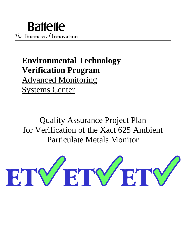# **Environmental Technology Verification Program**

Advanced Monitoring Systems Center

Quality Assurance Project Plan for Verification of the Xact 625 Ambient Particulate Metals Monitor

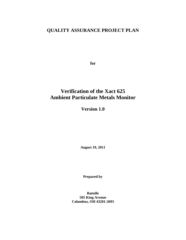# **QUALITY ASSURANCE PROJECT PLAN**

**for**

# **Verification of the Xact 625 Ambient Particulate Metals Monitor**

**Version 1.0**

**August 19, 2011**

**Prepared by**

**Battelle 505 King Avenue Columbus, OH 43201-2693**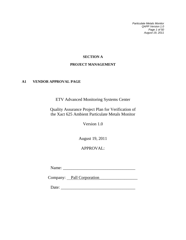*Particulate Metals Monitor QAPP Version 1.0 Page 1 of 50 August 19, 2011*

# **SECTION A**

# **PROJECT MANAGEMENT**

# <span id="page-2-1"></span><span id="page-2-0"></span>**A1 VENDOR APPROVAL PAGE**

ETV Advanced Monitoring Systems Center

Quality Assurance Project Plan for Verification of the Xact 625 Ambient Particulate Metals Monitor

Version 1.0

August 19, 2011

# APPROVAL:

Name: \_\_\_\_\_\_\_\_\_\_\_\_\_\_\_\_\_\_\_\_\_\_\_\_\_\_\_\_\_\_\_\_\_\_

Company: Pall Corporation

Date: \_\_\_\_\_\_\_\_\_\_\_\_\_\_\_\_\_\_\_\_\_\_\_\_\_\_\_\_\_\_\_\_\_\_\_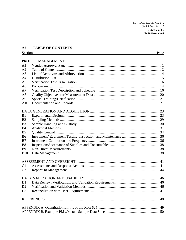Particulate Metals Monitor QAPP Version 1.0<br>Page 2 of 50<br>August 19, 2011

#### <span id="page-3-0"></span>**TABLE OF CONTENTS**  $A2$

| Section        | Page |
|----------------|------|
|                |      |
| A <sub>1</sub> |      |
| A <sub>2</sub> |      |
| A <sub>3</sub> |      |
| A <sub>4</sub> |      |
| A <sub>5</sub> |      |
| A6             |      |
| A7             |      |
| A8             |      |
| A <sup>9</sup> |      |
| A10            |      |
|                |      |
| B <sub>1</sub> |      |
| B <sub>2</sub> |      |
| B <sub>3</sub> |      |
| <b>B4</b>      |      |
| B <sub>5</sub> |      |
| <b>B6</b>      |      |
| B7             |      |
| B <sub>8</sub> |      |
| <b>B9</b>      |      |
| <b>B10</b>     |      |
|                |      |
|                |      |
| C <sub>1</sub> |      |
| C <sub>2</sub> |      |
|                |      |
| D <sub>1</sub> |      |
| D2             |      |
| D <sub>3</sub> |      |
|                |      |
|                |      |
|                |      |
|                |      |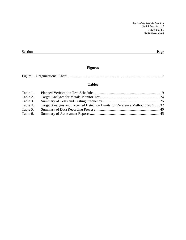*Particulate Metals Monitor QAPP Version 1.0 Page 3 of 50 August 19, 2011*

| Section | AOP |
|---------|-----|
|         |     |

# **Figures**

|--|--|--|--|

# **Tables**

| Table 1. |                                                                               |  |
|----------|-------------------------------------------------------------------------------|--|
| Table 2. |                                                                               |  |
| Table 3. |                                                                               |  |
| Table 4. | Target Analytes and Expected Detection Limits for Reference Method IO-3.5  32 |  |
| Table 5. |                                                                               |  |
| Table 6. |                                                                               |  |
|          |                                                                               |  |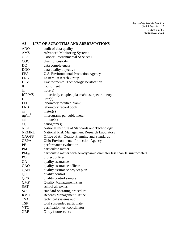<span id="page-5-0"></span>

| A3                     | <b>LIST OF ACRONYMS AND ABBREVIATIONS</b>                             |
|------------------------|-----------------------------------------------------------------------|
| <b>ADQ</b>             | audit of data quality                                                 |
| <b>AMS</b>             | <b>Advanced Monitoring Systems</b>                                    |
| <b>CES</b>             | <b>Cooper Environmental Services LLC</b>                              |
| <b>COC</b>             | chain of custody                                                      |
| DC                     | data completeness                                                     |
| <b>DQO</b>             | data quality objective                                                |
| EPA                    | <b>U.S. Environmental Protection Agency</b>                           |
| <b>ERG</b>             | <b>Eastern Research Group</b>                                         |
| <b>ETV</b>             | <b>Environmental Technology Verification</b>                          |
| ft                     | foot or feet                                                          |
| hr                     | hour(s)                                                               |
| <b>ICP/MS</b>          | inductively coupled plasma/mass spectrometry                          |
| L                      | liter(s)                                                              |
| <b>LFB</b>             | laboratory fortified blank                                            |
| <b>LRB</b>             | laboratory record book                                                |
| m                      | meter(s)                                                              |
| $\mu$ g/m <sup>3</sup> | micrograms per cubic meter                                            |
| min                    | minute(s)                                                             |
| ng                     | nanogram(s)                                                           |
| <b>NIST</b>            | National Institute of Standards and Technology                        |
| NRMRL                  | National Risk Management Research Laboratory                          |
| <b>OAQPS</b>           | Office of Air Quality Planning and Standards                          |
| <b>OEPA</b>            | Ohio Environmental Protection Agency                                  |
| PE                     | performance evaluation                                                |
| PM                     | particulate matter                                                    |
| $PM_{10}$              | particulate matter with aerodynamic diameter less than 10 micrometers |
| PO                     | project officer                                                       |
| QA                     | quality assurance                                                     |
| QAO                    | quality assurance officer                                             |
| QAPP                   | quality assurance project plan                                        |
| QC                     | quality control                                                       |
| <b>QCS</b>             | quality control sample                                                |
| QMP                    | <b>Quality Management Plan</b>                                        |
| <b>SAT</b>             | school air toxics                                                     |
| <b>SOP</b>             | standard operating procedure                                          |
| <b>RMO</b>             | <b>Records Management Office</b>                                      |
| <b>TSA</b>             | technical systems audit                                               |
| <b>TSP</b>             | total suspended particulate                                           |
| <b>VTC</b>             | verification test coordinator                                         |
| <b>XRF</b>             | X-ray fluorescence                                                    |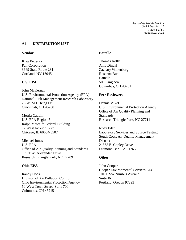*Particulate Metals Monitor QAPP Version 1.0 Page 5 of 50 August 19, 2011*

# <span id="page-6-0"></span>**A4 DISTRIBUTION LIST**

#### **Vendor**

Krag Petterson Pall Corporation 3669 State Route 281 Cortland, NY 13045

# **U.S. EPA**

John McKernan U.S. Environmental Protection Agency (EPA) National Risk Management Research Laboratory 26 W. M.L. King Dr. Cincinnati, OH 45268

Motria Caudill U.S. EPA Region 5 Ralph Metcalfe Federal Building 77 West Jackson Blvd. Chicago, IL 60604-3507

Michael Jones U.S. EPA Office of Air Quality Planning and Standards 109 T.W. Alexander Drive Research Triangle Park, NC 27709

# **Ohio EPA**

Randy Hock Division of Air Pollution Control Ohio Environmental Protection Agency 50 West Town Street, Suite 700 Columbus, OH 43215

# **Battelle**

Thomas Kelly Amy Dindal Zachary Willenberg Rosanna Buhl **Battelle** 505 King Ave. Columbus, OH 43201

# **Peer Reviewers**

Dennis Mikel U.S. Environmental Protection Agency Office of Air Quality Planning and Standards Research Triangle Park, NC 27711

Rudy Eden Laboratory Services and Source Testing South Coast Air Quality Management District 21865 E. Copley Drive Diamond Bar, CA 91765

# **Other**

John Cooper Cooper Environmental Services LLC 10180 SW Nimbus Avenue Suite J6 Portland, Oregon 97223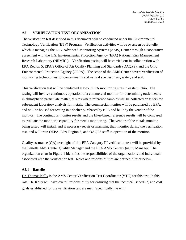# <span id="page-7-0"></span>**A5 VERIFICATION TEST ORGANIZATION**

The verification test described in this document will be conducted under the Environmental Technology Verification (ETV) Program. Verification activities will be overseen by Battelle, which is managing the ETV Advanced Monitoring Systems (AMS) Center through a cooperative agreement with the U.S. Environmental Protection Agency (EPA) National Risk Management Research Laboratory (NRMRL). Verification testing will be carried out in collaboration with EPA Region 5, EPA's Office of Air Quality Planning and Standards (OAQPS), and the Ohio Environmental Protection Agency (OEPA). The scope of the AMS Center covers verification of monitoring technologies for contaminants and natural species in air, water, and soil.

This verification test will be conducted at two OEPA monitoring sites in eastern Ohio. The testing will involve continuous operation of a commercial monitor for determining toxic metals in atmospheric particulate matter, at sites where reference samples will be collected on filters for subsequent laboratory analysis for metals. The commercial monitor will be purchased by EPA, and will be housed for testing in a shelter purchased by EPA and built by the vendor of the monitor. The continuous monitor results and the filter-based reference results will be compared to evaluate the monitor's capability for metals monitoring. The vendor of the metals monitor being tested will install, and if necessary repair or maintain, their monitor during the verification test, and will train OEPA, EPA Region 5, and OAQPS staff in operation of the monitor.

Quality assurance (QA) oversight of this EPA Category III verification test will be provided by the Battelle AMS Center Quality Manager and the EPA AMS Center Quality Manager. The organization chart in Figure 1 identifies the responsibilities of the organizations and individuals associated with the verification test. Roles and responsibilities are defined further below.

# **A5.1 Battelle**

Dr. Thomas Kelly is the AMS Center Verification Test Coordinator (VTC) for this test. In this role, Dr. Kelly will have overall responsibility for ensuring that the technical, schedule, and cost goals established for the verification test are met. Specifically, he will: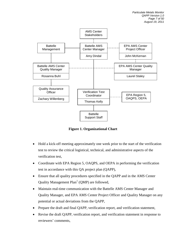

**Figure 1. Organizational Chart**

- Hold a kick-off meeting approximately one week prior to the start of the verification test to review the critical logistical, technical, and administrative aspects of the verification test,
- Coordinate with EPA Region 5, OAQPS, and OEPA in performing the verification test in accordance with this QA project plan (QAPP),
- Ensure that all quality procedures specified in the QAPP and in the AMS Center Quality Management  $Plan<sup>1</sup> (OMP)$  are followed,
- Maintain real-time communication with the Battelle AMS Center Manager and Quality Manager, and EPA AMS Center Project Officer and Quality Manager on any potential or actual deviations from the QAPP,
- Prepare the draft and final QAPP, verification report, and verification statement,
- Revise the draft QAPP, verification report, and verification statement in response to reviewers' comments,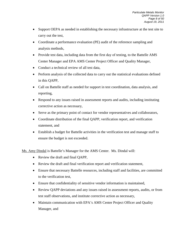- Support OEPA as needed in establishing the necessary infrastructure at the test site to carry out the test,
- Coordinate a performance evaluation (PE) audit of the reference sampling and analysis methods,
- Provide test data, including data from the first day of testing, to the Battelle AMS Center Manager and EPA AMS Center Project Officer and Quality Manager,
- Conduct a technical review of all test data,
- Perform analysis of the collected data to carry out the statistical evaluations defined in this QAPP,
- Call on Battelle staff as needed for support in test coordination, data analysis, and reporting,
- Respond to any issues raised in assessment reports and audits, including instituting corrective action as necessary,
- Serve as the primary point of contact for vendor representatives and collaborators,
- Coordinate distribution of the final QAPP, verification report, and verification statement, and
- Establish a budget for Battelle activities in the verification test and manage staff to ensure the budget is not exceeded.

Ms. Amy Dindal is Battelle's Manager for the AMS Center. Ms. Dindal will:

- Review the draft and final QAPP,
- Review the draft and final verification report and verification statement,
- Ensure that necessary Battelle resources, including staff and facilities, are committed to the verification test,
- Ensure that confidentiality of sensitive vendor information is maintained,
- Review QAPP deviations and any issues raised in assessment reports, audits, or from test staff observations, and institute corrective action as necessary,
- Maintain communication with EPA's AMS Center Project Officer and Quality Manager, and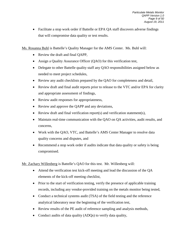• Facilitate a stop work order if Battelle or EPA QA staff discovers adverse findings that will compromise data quality or test results.

Ms. Rosanna Buhl is Battelle's Quality Manager for the AMS Center. Ms. Buhl will:

- Review the draft and final QAPP,
- Assign a Quality Assurance Officer (QAO) for this verification test,
- Delegate to other Battelle quality staff any QAO responsibilities assigned below as needed to meet project schedules,
- Review any audit checklists prepared by the QAO for completeness and detail,
- Review draft and final audit reports prior to release to the VTC and/or EPA for clarity and appropriate assessment of findings,
- Review audit responses for appropriateness,
- Review and approve the QAPP and any deviations,
- Review draft and final verification report(s) and verification statement(s),
- Maintain real-time communication with the QAO on QA activities, audit results, and concerns,
- Work with the QAO, VTC, and Battelle's AMS Center Manager to resolve data quality concerns and disputes, and
- Recommend a stop work order if audits indicate that data quality or safety is being compromised.

Mr. Zachary Willenberg is Battelle's QAO for this test. Mr. Willenberg will:

- Attend the verification test kick-off meeting and lead the discussion of the QA elements of the kick-off meeting checklist,
- Prior to the start of verification testing, verify the presence of applicable training records, including any vendor-provided training on the metals monitor being tested,
- Conduct a technical systems audit (TSA) of the field testing and the reference analytical laboratory near the beginning of the verification test,
- Review results of the PE audit of reference sampling and analysis methods,
- Conduct audits of data quality (ADQs) to verify data quality,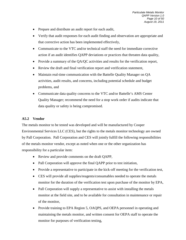- Prepare and distribute an audit report for each audit,
- Verify that audit responses for each audit finding and observation are appropriate and that corrective action has been implemented effectively,
- Communicate to the VTC and/or technical staff the need for immediate corrective action if an audit identifies QAPP deviations or practices that threaten data quality,
- Provide a summary of the QA/QC activities and results for the verification report,
- Review the draft and final verification report and verification statement,
- Maintain real-time communication with the Battelle Quality Manager on QA activities, audit results, and concerns, including potential schedule and budget problems, and
- Communicate data quality concerns to the VTC and/or Battelle's AMS Center Quality Manager; recommend the need for a stop work order if audits indicate that data quality or safety is being compromised.

# **A5.2 Vendor**

The metals monitor to be tested was developed and will be manufactured by Cooper Environmental Services LLC (CES), but the rights to the metals monitor technology are owned by Pall Corporation. Pall Corporation and CES will jointly fulfill the following responsibilities of the metals monitor vendor, except as noted when one or the other organization has responsibility for a particular item:

- Review and provide comments on the draft QAPP,
- Pall Corporation will approve the final QAPP prior to test initiation,
- Provide a representative to participate in the kick-off meeting for the verification test,
- CES will provide all supplies/reagents/consumables needed to operate the metals monitor for the duration of the verification test upon purchase of the monitor by EPA,
- Pall Corporation will supply a representative to assist with installing the metals monitor at the field site, and to be available for consultation in maintenance or repair of the monitor,
- Provide training to EPA Region 5, OAQPS, and OEPA personnel in operating and maintaining the metals monitor, and written consent for OEPA staff to operate the monitor for purposes of verification testing,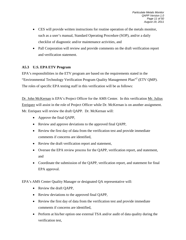- CES will provide written instructions for routine operation of the metals monitor, such as a user's manual, Standard Operating Procedure (SOP), and/or a daily checklist of diagnostic and/or maintenance activities, and
- Pall Corporation will review and provide comments on the draft verification report and verification statement.

# **A5.3 U.S. EPA ETV Program**

EPA's responsibilities in the ETV program are based on the requirements stated in the "Environmental Technology Verification Program Quality Management Plan"2 (ETV QMP). The roles of specific EPA testing staff in this verification will be as follows:

Dr. John McKernan is EPA's Project Officer for the AMS Center. In this verification Mr. Julius Enriquez will assist in the role of Project Officer while Dr. McKernan is on another assignment. Mr. Enriquez will review the draft QAPP. Dr. McKernan will:

- Approve the final QAPP,
- Review and approve deviations to the approved final QAPP,
- Review the first day of data from the verification test and provide immediate comments if concerns are identified,
- Review the draft verification report and statement,
- Oversee the EPA review process for the QAPP, verification report, and statement, and
- Coordinate the submission of the QAPP, verification report, and statement for final EPA approval.

EPA's AMS Center Quality Manager or designated QA representative will:

- Review the draft QAPP,
- Review deviations to the approved final QAPP,
- Review the first day of data from the verification test and provide immediate comments if concerns are identified,
- Perform at his/her option one external TSA and/or audit of data quality during the verification test,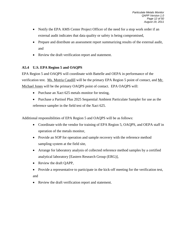- Notify the EPA AMS Center Project Officer of the need for a stop work order if an external audit indicates that data quality or safety is being compromised,
- Prepare and distribute an assessment report summarizing results of the external audit, and
- Review the draft verification report and statement.

# **A5.4 U.S. EPA Region 5 and OAQPS**

EPA Region 5 and OAQPS will coordinate with Battelle and OEPA in performance of the verification test. Ms. Motria Caudill will be the primary EPA Region 5 point of contact, and Mr. Michael Jones will be the primary OAQPS point of contact. EPA OAQPS will:

- Purchase an Xact 625 metals monitor for testing,
- Purchase a Partisol Plus 2025 Sequential Ambient Particulate Sampler for use as the reference sampler in the field test of the Xact 625.

Additional responsibilities of EPA Region 5 and OAQPS will be as follows:

- Coordinate with the vendor for training of EPA Region 5, OAQPS, and OEPA staff in operation of the metals monitor,
- Provide an SOP for operation and sample recovery with the reference method sampling system at the field site,
- Arrange for laboratory analysis of collected reference method samples by a certified analytical laboratory [Eastern Research Group (ERG)],
- Review the draft QAPP,
- Provide a representative to participate in the kick-off meeting for the verification test, and
- Review the draft verification report and statement.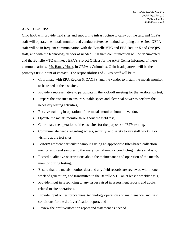# **A5.5 Ohio EPA**

Ohio EPA will provide field sites and supporting infrastructure to carry out the test, and OEPA staff will operate the metals monitor and conduct reference method sampling at the site. OEPA staff will be in frequent communication with the Battelle VTC and EPA Region 5 and OAQPS staff, and with the technology vendor as needed. All such communication will be documented, and the Battelle VTC will keep EPA's Project Officer for the AMS Center informed of these communications. Mr. Randy Hock, in OEPA's Columbus, Ohio headquarters, will be the primary OEPA point of contact. The responsibilities of OEPA staff will be to:

- Coordinate with EPA Region 5, OAQPS, and the vendor to install the metals monitor to be tested at the test sites,
- Provide a representative to participate in the kick-off meeting for the verification test,
- Prepare the test sites to ensure suitable space and electrical power to perform the necessary testing activities,
- Receive training in operation of the metals monitor from the vendor,
- Operate the metals monitor throughout the field test,
- Coordinate the operation of the test sites for the purposes of ETV testing,
- Communicate needs regarding access, security, and safety to any staff working or visiting at the test sites,
- Perform ambient particulate sampling using an appropriate filter-based collection method and send samples to the analytical laboratory conducting metals analysis,
- Record qualitative observations about the maintenance and operation of the metals monitor during testing,
- Ensure that the metals monitor data and any field records are reviewed within one week of generation, and transmitted to the Battelle VTC on at least a weekly basis,
- Provide input in responding to any issues raised in assessment reports and audits related to site operations,
- Provide input on test procedures, technology operation and maintenance, and field conditions for the draft verification report, and
- Review the draft verification report and statement as needed.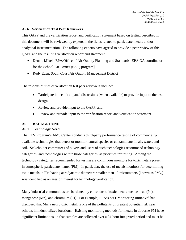# **A5.6. Verification Test Peer Reviewers**

This QAPP and the verification report and verification statement based on testing described in this document will be reviewed by experts in the fields related to particulate metals and/or analytical instrumentation. The following experts have agreed to provide a peer review of this QAPP and the resulting verification report and statement.

- Dennis Mikel, EPA/Office of Air Quality Planning and Standards [EPA QA coordinator] for the School Air Toxics (SAT) program]
- Rudy Eden, South Coast Air Quality Management District

The responsibilities of verification test peer reviewers include:

- Participate in technical panel discussions (when available) to provide input to the test design,
- Review and provide input to the QAPP, and
- Review and provide input to the verification report and verification statement.

# <span id="page-15-0"></span>**A6 BACKGROUND**

# **A6.1 Technology Need**

The ETV Program's AMS Center conducts third-party performance testing of commerciallyavailable technologies that detect or monitor natural species or contaminants in air, water, and soil. Stakeholder committees of buyers and users of such technologies recommend technology categories, and technologies within those categories, as priorities for testing. Among the technology categories recommended for testing are continuous monitors for toxic metals present in atmospheric particulate matter (PM). In particular, the use of metals monitors for determining toxic metals in PM having aerodynamic diameters smaller than 10 micrometers (known as  $PM_{10}$ ) was identified as an area of interest for technology verification.

Many industrial communities are burdened by emissions of toxic metals such as lead (Pb), manganese (Mn), and chromium (Cr). For example, EPA's SAT Monitoring Initiative<sup>3</sup> has disclosed that Mn, a neurotoxic metal, is one of the pollutants of greatest potential risk near schools in industrialized locations. Existing monitoring methods for metals in airborne PM have significant limitations, in that samples are collected over a 24-hour integrated period and must be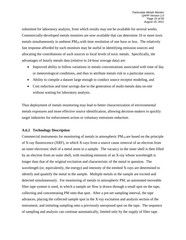submitted for laboratory analysis, from which results may not be available for several weeks. Commercially-developed metals monitors are now available that can determine 10 or more toxic metals simultaneously in ambient  $PM_{10}$  with time resolution of one hour or less. The relatively fast response afforded by such monitors may be useful in identifying emission sources and allocating the contributions of such sources to local levels of toxic metals. Specifically, the advantages of hourly metals data (relative to 24-hour average data) are:

- Improved ability to follow variations in metals concentrations associated with time of day or meteorological conditions, and thus to attribute metals risk to a particular source,
- Ability to compile a dataset large enough to conduct source receptor modeling, and
- Cost reduction and time savings due to the generation of multi-metals data on-site without waiting for laboratory analysis.

Thus deployment of metals monitoring may lead to better characterization of environmental metals exposures and more effective source identification, allowing decision-makers to quickly target industries for enforcement action or voluntary emissions reduction.

# **A.6.2 Technology Description**

Commercial instruments for monitoring of metals in atmospheric  $PM_{10}$  are based on the principle of X-ray fluorescence (XRF), in which X-rays from a source cause removal of an electron from an inner electronic shell of a metal atom in a sample. The vacancy in the inner shell is then filled by an electron from an outer shell, with resulting emission of an X-ray whose wavelength is longer than that of the original excitation and characteristic of the metal in question. The wavelength (or, equivalently, the energy) and intensity of the emitted X-rays are determined to identify and quantify the metal in the sample. Multiple metals in the sample are excited and detected simultaneously. For monitoring of metals in atmospheric PM, an automated moveable filter tape system is used, in which a sample air flow is drawn through a small spot on the tape, collecting and concentrating PM onto that spot. After a pre-set sampling interval, the tape advances, placing the collected sample spot in the X-ray excitation and analysis section of the instrument, and initiating sampling onto a previously unexposed spot on the tape. The sequence of sampling and analysis can continue automatically, limited only by the supply of filter tape.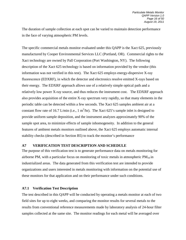The duration of sample collection at each spot can be varied to maintain detection performance in the face of varying atmospheric PM levels.

The specific commercial metals monitor evaluated under this QAPP is the Xact 625, previously manufactured by Cooper Environmental Services LLC (Portland, OR). Commercial rights to the Xact technology are owned by Pall Corporation (Port Washington, NY). The following description of the Xact 625 technology is based on information provided by the vendor (this information was not verified in this test). The Xact 625 employs energy-dispersive X-ray fluorescence (EDXRF), in which the detector and electronics resolve emitted X-rays based on their energy. The EDXRF approach allows use of a relatively simple optical path and a relatively low power X-ray source, and thus reduces the instrument cost. The EDXRF approach also provides acquisition of the entire X-ray spectrum very rapidly, so that many elements in the periodic table can be detected within a few seconds. The Xact 625 samples ambient air at a constant flow rate of 16.7 L/min (i.e., 1  $m^3$ /hr). The Xact 625's sample inlet is designed to provide uniform sample deposition, and the instrument analyzes approximately 90% of the sample spot area, to minimize effects of sample inhomogeneity. In addition to the general features of ambient metals monitors outlined above, the Xact 625 employs automatic internal stability checks (described in Section B5) to track the monitor's performance

# <span id="page-17-0"></span>**A7 VERIFICATION TEST DESCRIPTION AND SCHEDULE**

The purpose of this verification test is to generate performance data on metals monitoring for airborne PM, with a particular focus on monitoring of toxic metals in atmospheric  $PM_{10}$  in industrialized areas. The data generated from this verification test are intended to provide organizations and users interested in metals monitoring with information on the potential use of these monitors for that application and on their performance under such conditions.

# **A7.1 Verification Test Description**

The test described in this QAPP will be conducted by operating a metals monitor at each of two field sites for up to eight weeks, and comparing the monitor results for several metals to the results from conventional reference measurements made by laboratory analysis of 24-hour filter samples collected at the same site. The monitor readings for each metal will be averaged over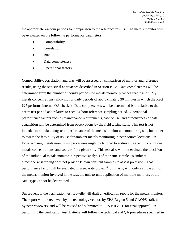the appropriate 24-hour periods for comparison to the reference results. The metals monitor will be evaluated on the following performance parameters.

- **Comparability**
- **Correlation**
- Bias
- Data completeness
- Operational factors

Comparability, correlation, and bias will be assessed by comparison of monitor and reference results, using the statistical approaches described in Section B1.2. Data completeness will be determined from the number of hourly periods the metals monitor provides readings of  $PM_{10}$ metals concentrations (allowing for daily periods of approximately 30 minutes in which the Xact 625 performs internal QA checks). Data completeness will be determined both relative to the entire test period and relative to each 24-hour reference sampling period. Operational performance factors such as maintenance requirements, ease of use, and effectiveness of data acquisition will be determined from observations by the field testing staff. This test is not intended to simulate long-term performance of the metals monitor at a monitoring site, but rather to assess the feasibility of its use for ambient metals monitoring in near-source locations. In long-term use, metals monitoring procedures might be tailored to address the specific conditions, metals concentrations, and sources for a given site. This test also will not evaluate the precision of the individual metals monitor in repetitive analysis of the same sample, as ambient atmospheric sampling does not provide known constant samples to assess precision. That performance factor will be evaluated in a separate project.<sup>4</sup> Similarly, with only a single unit of the metals monitor involved in the test, the unit-to-unit duplication of multiple monitors of the same type cannot be determined.

Subsequent to the verification test, Battelle will draft a verification report for the metals monitor. The report will be reviewed by the technology vendor, by EPA Region 5 and OAQPS staff, and by peer reviewers, and will be revised and submitted to EPA NRMRL for final approval. In performing the verification test, Battelle will follow the technical and QA procedures specified in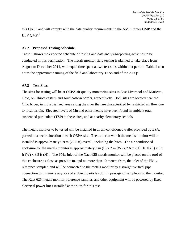this QAPP and will comply with the data quality requirements in the AMS Center QMP and the  ${\rm ETV \; QMP.}^1$ 

# **A7.2 Proposed Testing Schedule**

Table 1 shows the expected schedule of testing and data analysis/reporting activities to be conducted in this verification. The metals monitor field testing is planned to take place from August to December 2011, with equal time spent at two test sites within that period. Table 1 also notes the approximate timing of the field and laboratory TSAs and of the ADQs.

#### <span id="page-19-0"></span>**A7.3 Test Sites**

The sites for testing will be at OEPA air quality monitoring sites in East Liverpool and Marietta, Ohio, on Ohio's eastern and southeastern border, respectively. Both sites are located near the Ohio River, in industrialized areas along the river that are characterized by restricted air flow due to local terrain. Elevated levels of Mn and other metals have been found in ambient total suspended particulate (TSP) at these sites, and at nearby elementary schools.

The metals monitor to be tested will be installed in an air-conditioned trailer provided by EPA, parked in a secure location at each OEPA site. The trailer in which the metals monitor will be installed is approximately 6.9 m (22.5 ft) overall, including the hitch. The air conditioned enclosure for the metals monitor is approximately 3 m (L) x 2 m (W) x 2.6 m (H) [10 ft (L) x 6.7 ft (W) x 8.5 ft (H)]. The  $PM_{10}$  inlet of the Xact 625 metals monitor will be placed on the roof of this enclosure as close as possible to, and no more than 10 meters from, the inlet of the  $PM_{10}$ reference sampler, and will be connected to the metals monitor by a straight vertical pipe connection to minimize any loss of ambient particles during passage of sample air to the monitor. The Xact 625 metals monitor, reference sampler, and other equipment will be powered by fixed electrical power lines installed at the sites for this test.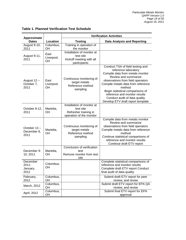| <b>Approximate</b>                    |                                 |                                                                                              | <b>Verification Activities</b>                                                                                                                                                                                                                                                                                                                       |  |  |
|---------------------------------------|---------------------------------|----------------------------------------------------------------------------------------------|------------------------------------------------------------------------------------------------------------------------------------------------------------------------------------------------------------------------------------------------------------------------------------------------------------------------------------------------------|--|--|
| <b>Dates</b>                          | Location                        | <b>Testing</b>                                                                               | <b>Data Analysis and Reporting</b>                                                                                                                                                                                                                                                                                                                   |  |  |
| August 9-10,<br>2011                  | Columbus,<br>OH                 | Training in operation of<br>the monitor                                                      |                                                                                                                                                                                                                                                                                                                                                      |  |  |
| August 9-11,<br>2011                  | East<br>Liverpool,<br>OH        | Installation of monitor at<br>test site<br>Kickoff meeting with all<br>participants          |                                                                                                                                                                                                                                                                                                                                                      |  |  |
| August 12 -<br>October 7,<br>2011     | East<br>Liverpool,<br><b>OH</b> | Continuous monitoring of<br>target metals<br>Reference method<br>sampling                    | Conduct TSA of field testing and<br>reference laboratory<br>Compile data from metals monitor<br>Review and summarize<br>observations from field operators<br>Compile metals data from reference<br>method<br>Begin statistical comparisons of<br>reference and monitor results<br>Conduct audit of data quality<br>Develop ETV draft report template |  |  |
| October 8-12,<br>2011                 | Marietta,<br><b>OH</b>          | Installation of monitor at<br>test site<br>Refresher training in<br>operation of the monitor |                                                                                                                                                                                                                                                                                                                                                      |  |  |
| October 13-<br>December 8,<br>2011    | Marietta,<br><b>OH</b>          | Continuous monitoring of<br>target metals<br>Reference method<br>sampling                    | Compile data from metals monitor<br>Review and summarize<br>observations from field operators<br>Compile metals data from reference<br>method<br>Continue statistical comparisons of<br>reference and monitor results<br>Continue draft ETV report                                                                                                   |  |  |
| December 9-<br>10, 2011               | Marietta,<br><b>OH</b>          | Conclusion of verification<br>test<br>Remove monitor from test<br>site                       |                                                                                                                                                                                                                                                                                                                                                      |  |  |
| December<br>2011-<br>January,<br>2012 | Columbus,<br>OH                 |                                                                                              | Complete statistical comparisons of<br>reference and monitor results<br>Complete draft ETV report Conduct<br>final audit of data quality                                                                                                                                                                                                             |  |  |
| February,<br>2012                     | Columbus,<br>OH                 |                                                                                              | Submit draft ETV report for peer<br>review, and revise                                                                                                                                                                                                                                                                                               |  |  |
| March, 2012                           | Columbus,<br>OH                 |                                                                                              | Submit draft ETV report for EPA QA<br>review, and revise                                                                                                                                                                                                                                                                                             |  |  |
| April, 2012                           | Columbus,<br>OH                 |                                                                                              | Submit final ETV report for EPA<br>approval                                                                                                                                                                                                                                                                                                          |  |  |

# **Table 1. Planned Verification Test Schedule**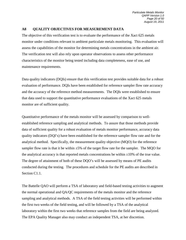#### <span id="page-21-0"></span>**A8 QUALITY OBJECTIVES FOR MEASUREMENT DATA**

The objective of this verification test is to evaluate the performance of the Xact 625 metals monitor under conditions relevant to ambient particulate metals monitoring. This evaluation will assess the capabilities of the monitor for determining metals concentrations in the ambient air. The verification test will also rely upon operator observations to assess other performance characteristics of the monitor being tested including data completeness, ease of use, and maintenance requirements.

Data quality indicators (DQIs) ensure that this verification test provides suitable data for a robust evaluation of performance. DQIs have been established for reference sampler flow rate accuracy and the accuracy of the reference method measurements. The DQIs were established to ensure that data used to support the quantitative performance evaluations of the Xact 625 metals monitor are of sufficient quality.

Quantitative performance of the metals monitor will be assessed by comparison to wellestablished reference sampling and analytical methods. To assure that those methods provide data of sufficient quality for a robust evaluation of metals monitor performance, accuracy data quality indicators (DQI's) have been established for the reference sampler flow rate and for the analytical method. Specifically, the measurement quality objective (MQO) for the reference sampler flow rate is that it be within  $\pm 5\%$  of the target flow rate for the sampler. The MQO for the analytical accuracy is that reported metals concentrations be within  $\pm 10\%$  of the true value. The degree of attainment of both of these DQO's will be assessed by means of PE audits conducted during the testing. The procedures and schedule for the PE audits are described in Section C1.1.

The Battelle QAO will perform a TSA of laboratory and field-based testing activities to augment the normal operational and QA/QC requirements of the metals monitor and the reference sampling and analytical methods. A TSA of the field testing activities will be performed within the first two weeks of the field testing, and will be followed by a TSA of the analytical laboratory within the first two weeks that reference samples from the field are being analyzed. The EPA Quality Manager also may conduct an independent TSA, at her discretion.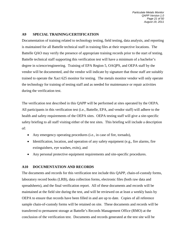*Particulate Metals Monitor QAPP Version 1.0 Page 21 of 50 August 19, 2011*

# <span id="page-22-0"></span>**A9 SPECIAL TRAINING/CERTIFICATION**

Documentation of training related to technology testing, field testing, data analysis, and reporting is maintained for all Battelle technical staff in training files at their respective locations. The Battelle QAO may verify the presence of appropriate training records prior to the start of testing. Battelle technical staff supporting this verification test will have a minimum of a bachelor's degree in science/engineering. Training of EPA Region 5, OAQPS, and OEPA staff by the vendor will be documented, and the vendor will indicate by signature that those staff are suitably trained to operate the Xact 625 monitor for testing. The metals monitor vendor will only operate the technology for training of testing staff and as needed for maintenance or repair activities during the verification test.

The verification test described in this QAPP will be performed at sites operated by the OEPA. All participants in this verification test (i.e., Battelle, EPA, and vendor staff) will adhere to the health and safety requirements of the OEPA sites. OEPA testing staff will give a site-specific safety briefing to all staff visiting either of the test sites. This briefing will include a description of:

- Any emergency operating procedures (i.e., in case of fire, tornado),
- Identification, location, and operation of any safety equipment (e.g., fire alarms, fire extinguishers, eye washes, exits), and
- Any personal protective equipment requirements and site-specific procedures.

# <span id="page-22-1"></span>**A10 DOCUMENTATION AND RECORDS**

The documents and records for this verification test include this QAPP, chain-of-custody forms, laboratory record books (LRB), data collection forms, electronic files (both raw data and spreadsheets), and the final verification report. All of these documents and records will be maintained at the field site during the test, and will be reviewed on at least a weekly basis by OEPA to ensure that records have been filled in and are up to date. Copies of all reference sample chain-of-custody forms will be retained on site. These documents and records will be transferred to permanent storage at Battelle's Records Management Office (RMO) at the conclusion of the verification test. Documents and records generated at the test site will be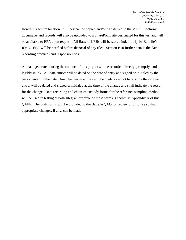stored in a secure location until they can be copied and/or transferred to the VTC. Electronic documents and records will also be uploaded to a SharePoint site designated for this test and will be available to EPA upon request. All Battelle LRBs will be stored indefinitely by Battelle's RMO. EPA will be notified before disposal of any files. Section B10 further details the data recording practices and responsibilities.

All data generated during the conduct of this project will be recorded directly, promptly, and legibly in ink. All data entries will be dated on the date of entry and signed or initialed by the person entering the data. Any changes in entries will be made so as not to obscure the original entry, will be dated and signed or initialed at the time of the change and shall indicate the reason for the change. Data recording and chain-of-custody forms for the reference sampling method will be used in testing at both sites; an example of those forms is shown as Appendix A of this QAPP. The draft forms will be provided to the Battelle QAO for review prior to use so that appropriate changes, if any, can be made.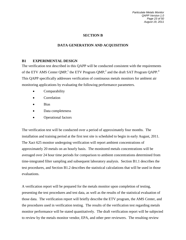*Particulate Metals Monitor QAPP Version 1.0 Page 23 of 50 August 19, 2011*

# **SECTION B**

# **DATA GENERATION AND ACQUISITION**

# <span id="page-24-1"></span><span id="page-24-0"></span>**B1 EXPERIMENTAL DESIGN**

The verification test described in this QAPP will be conducted consistent with the requirements of the ETV AMS Center QMP,<sup>1</sup> the ETV Program QMP,<sup>2</sup> and the draft SAT Program QAPP.<sup>4</sup> This QAPP specifically addresses verification of continuous metals monitors for ambient air monitoring applications by evaluating the following performance parameters.

- Comparability
- Correlation
- Bias
- Data completeness
- Operational factors

The verification test will be conducted over a period of approximately four months. The installation and training period at the first test site is scheduled to begin in early August, 2011. The Xact 625 monitor undergoing verification will report ambient concentrations of approximately 20 metals on an hourly basis. The monitored metals concentrations will be averaged over 24 hour time periods for comparison to ambient concentrations determined from time-integrated filter sampling and subsequent laboratory analysis. Section B1.1 describes the test procedures, and Section B1.2 describes the statistical calculations that will be used in those evaluations.

A verification report will be prepared for the metals monitor upon completion of testing, presenting the test procedures and test data, as well as the results of the statistical evaluation of those data. The verification report will briefly describe the ETV program, the AMS Center, and the procedures used in verification testing. The results of the verification test regarding metals monitor performance will be stated quantitatively. The draft verification report will be subjected to review by the metals monitor vendor, EPA, and other peer reviewers. The resulting review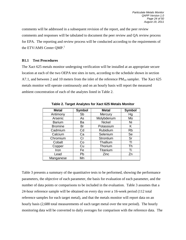comments will be addressed in a subsequent revision of the report, and the peer review comments and responses will be tabulated to document the peer review and QA review process for EPA. The reporting and review process will be conducted according to the requirements of the ETV/AMS Center  $QMP<sup>1</sup>$ 

#### **B1.1 Test Procedures**

The Xact 625 metals monitor undergoing verification will be installed at an appropriate secure location at each of the two OEPA test sites in turn, according to the schedule shown in section A7.1, and between 2 and 10 meters from the inlet of the reference  $PM_{10}$  sampler. The Xact 625 metals monitor will operate continuously and on an hourly basis will report the measured ambient concentration of each of the analytes listed in Table 2.

| <b>Metal</b>   | <b>Symbol</b> | <b>Metal</b>  | <b>Symbol</b> |
|----------------|---------------|---------------|---------------|
| Antimony       | Sb            | Mercury       | Нg            |
| Arsenic        | As            | Molybdenum    | Mo            |
| <b>Barium</b>  | Ba            | <b>Nickel</b> | Ni            |
| <b>Bromine</b> | Br            | Potassium     | Κ             |
| Cadmium        | Cd            | Rubidium      | <b>Rb</b>     |
| Calcium        | Ca            | Selenium      | Se            |
| Chromium       | Cr            | Strontium     | Sr            |
| Cobalt         | Co            | Thallium      |               |
| Copper         | Cu            | Thorium       | Th            |
| Iron           | Fe            | Titanium      | Ti            |
| Lead           | Pb            | Zinc          | Zn            |
| Manganese      | Mn            |               |               |

**Table 2. Target Analytes for Xact 625 Metals Monitor** 

Table 3 presents a summary of the quantitative tests to be performed, showing the performance parameters, the objective of each parameter, the basis for evaluation of each parameter, and the number of data points or comparisons to be included in the evaluation. Table 3 assumes that a 24-hour reference sample will be obtained on every day over a 16-week period (112 total reference samples for each target metal), and that the metals monitor will report data on an hourly basis (2,688 total measurements of each target metal over the test period). The hourly monitoring data will be converted to daily averages for comparison with the reference data. The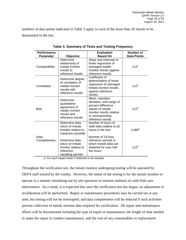<span id="page-26-0"></span>numbers of data points indicated in Table 3 apply to each of the more than 20 metals to be determined in the test.

| <b>Performance</b> |                                                                                                 | <b>Evaluation</b>                                                                                                                                        | <b>Number of</b>   |
|--------------------|-------------------------------------------------------------------------------------------------|----------------------------------------------------------------------------------------------------------------------------------------------------------|--------------------|
| <b>Parameter</b>   | Objective                                                                                       | <b>Based On</b>                                                                                                                                          | <b>Data Points</b> |
| Comparability      | Determine<br>relationship of<br>metals monitor<br>results to<br>reference results               | Slope and intercept of<br>linear regression of<br>averaged metals<br>monitor results against<br>reference results                                        | $112^a$            |
| Correlation        | Determine degree<br>of correlation of<br>metals monitor<br>results with<br>reference results    | Coefficient of<br>determination of linear<br>regression of averaged<br>metals monitor results<br>against reference<br>results                            | $112^a$            |
| <b>Bias</b>        | Determine<br>quantitative<br>agreement of<br>metals monitor<br>results and<br>reference results | Mean, standard<br>deviation, and range of<br>percent difference<br>values of metals<br>monitor results relative<br>to corresponding<br>reference results | 112 <sup>a</sup>   |
| Data               | Determine data<br>return of metals<br>monitor relative to<br>maximum possible                   | Number of hours of<br>valid data relative to all<br>hours in the test<br>Number of 24-hour                                                               | $2,688^a$          |
| Completeness       | Determine data<br>return of metals<br>monitor relative to<br>reference<br>sampling periods      | reference periods in<br>which metals data are<br>obtained for over half<br>the hours                                                                     | $112^a$            |

**Table 3. Summary of Tests and Testing Frequency**

a: For each target metal, if detected in all samples

Throughout the verification test, the metals monitor undergoing testing will be operated by OEPA staff trained by the vendor. However, the intent of the testing is for the metals monitor to operate in a manner simulating use by site operators to monitor ambient air with little user intervention. As a result, it is expected that once the verification test has begun, no adjustment or recalibration will be performed. Repair or maintenance procedures may be carried out at any time, but testing will not be interrupted, and data completeness will be reduced if such activities prevent collection of metals monitor data required for verification. All repair and maintenance efforts will be documented including the type of repair or maintenance, the length of time needed to make the repair or conduct maintenance, and the cost of any consumables or replacement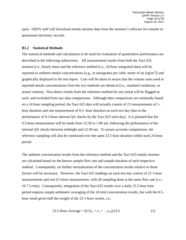parts. OEPA staff will download metals monitor data from the monitor's software for transfer to permanent electronic records.

#### **B1.2 Statistical Methods**

The statistical methods and calculations to be used for evaluation of quantitative performance are described in the following subsections. All measurement results from both the Xact 625 monitor (i.e., hourly data) and the reference method (i.e., 24-hour integrated data) will be reported as ambient metals concentrations [e.g., in nanograms per cubic meter of air  $(ng/m<sup>3</sup>)$ ] and graphically displayed in the test report. Care will be taken to assure that the volume units used in reported metals concentrations from the two methods are identical (i.e., standard conditions, or actual volume). Non-detect results from the reference method for any metal will be flagged as such, and excluded from any data comparisons. Although data comparisons are nominally based on a 24 hour sampling period, the Xact 625 data will actually consist of 23 measurements of 1 hour duration and one measurement of 0.5- hour duration on each test day (due to the performance of 0.5-hour internal QA checks by the Xact 625 each day). It is planned that the 0.5-hour measurement will be made from 12:30 to 1:00 am, following the performance of the internal QA checks between midnight and 12:30 am. To assure accurate comparisons, the reference sampling will also be conducted over the same 23.5 hour duration within each 24-hour period.

The ambient concentration results from the reference method and the Xact 625 metals monitor are calculated based on the known sample flow rate and sample duration of each respective method. Consequently, no further normalization of the concentration results relative to those factors will be necessary. However, the Xact 625 readings on each test day consist of 23 1-hour measurements and one 0.5-hour measurement, with all sampling done at the same flow rate (i.e., 16.7 L/min). Consequently, integration of the Xact 625 results over a daily 23.5 hour time period requires simple arithmetic averaging of the 24 total concentration results, but with the 0.5 hour result given half the weight of the 23 1-hour results, i.e.:

23.5 Hour Average = 
$$
(0.5c_1 + c_2 + ...c_{24})/23.5
$$
 (1)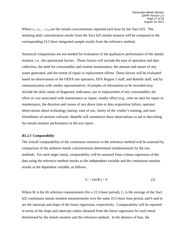Where  $c_1, c_2, \ldots c_{24}$  are the metals concentrations reported each hour by the Xact 625. The resulting daily concentration results from the Xact 625 metals monitor will be compared to the corresponding 23.5-hour integrated sample results from the reference method.

Statistical comparisons are not needed for evaluation of the qualitative performance of the metals monitor, i.e., the operational factors. Those factors will include the ease of operation and data collection, the need for consumables and routine maintenance, the amount and nature of any waste generated, and the extent of repair or replacement efforts. These factors will be evaluated based on observations of the OEPA site operators, EPA Region 5 staff, and Battelle staff, and by communication with vendor representatives. Examples of information to be recorded may include the daily status of diagnostic indicators, use or replacement of any consumables, the effort or cost associated with maintenance or repair, vendor effort (e.g., time on site) for repair or maintenance, the duration and causes of any down time or data acquisition failure, operator observations about technology startup, ease of use, clarity of the vendor's training, and userfriendliness of monitor software. Battelle will summarize these observations to aid in describing the metals monitor performance in the test report.

#### *B1.2.1 Comparability*

The overall comparability of the continuous monitors to the reference method will be assessed by comparison of the ambient metals concentrations determined simultaneously by the two methods. For each target metal, comparability will be assessed from a linear regression of the data using the reference method results as the independent variable and the continuous monitor results as the dependent variable, as follows.

$$
C_i = (m \cdot R_i) + b \tag{2}
$$

Where  $R_i$  is the ith reference measurement (for a 23.5-hour period),  $C_i$  is the average of the Xact 625 continuous metals monitor measurements over the same 23.5-hour time period, and b and m are the intercept and slope of the linear regression, respectively. Comparability will be reported in terms of the slope and intercept values obtained from the linear regression for each metal determined by the metals monitor and the reference method. In the absence of bias, the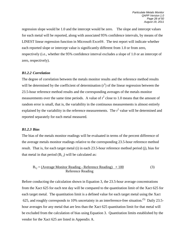regression slope would be 1.0 and the intercept would be zero. The slope and intercept values for each metal will be reported, along with associated 95% confidence intervals, by means of the LINEST linear regression function in Microsoft Excel®. The test report will indicate whether each reported slope or intercept value is significantly different from 1.0 or from zero, respectively (i.e., whether the 95% confidence interval excludes a slope of 1.0 or an intercept of zero, respectively).

#### *B1.2.2 Correlation*

The degree of correlation between the metals monitor results and the reference method results will be determined by the coefficient of determination  $(r^2)$  of the linear regression between the 23.5-hour reference method results and the corresponding averages of the metals monitor measurements over the same time periods. A value of  $r^2$  close to 1.0 means that the amount of random error is small, that is, the variability in the continuous measurements is almost entirely explained by the variability in the reference measurements. The  $r^2$  value will be determined and reported separately for each metal measured.

#### *B1.2.3 Bias*

The bias of the metals monitor readings will be evaluated in terms of the percent difference of the average metals monitor readings relative to the corresponding 23.5-hour reference method result. That is, for each target metal (i) in each 23.5-hour reference method period (j), bias for that metal in that period  $(B_{i,j})$  will be calculated as:

$$
B_{i,j} = \underline{(Average Monitor Reading - Reference Reading) \times 100}
$$
\n
$$
Reference Reading
$$
\n(3)

Before conducting the calculation shown in Equation 3, the 23.5-hour average concentrations from the Xact 625 for each test day will be compared to the quantitation limit of the Xact 625 for each target metal. The quantitation limit is a defined value for each target metal using the Xact 625, and roughly corresponds to 10% uncertainty in an interference-free situation.<sup>(5)</sup> Daily 23.5hour averages for any metal that are less than the Xact 625 quantitation limit for that metal will be excluded from the calculation of bias using Equation 3. Quantitation limits established by the vendor for the Xact 625 are listed in Appendix A.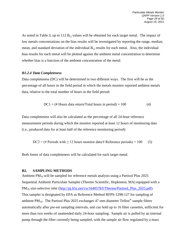As noted in Table 3, up to 112  $B_{i,j}$  values will be obtained for each target metal. The impact of low metals concentrations on the bias results will be investigated by reporting the range, median, mean, and standard deviation of the individual  $B_{i,j}$  results for each metal. Also, the individual bias results for each metal will be plotted against the ambient metal concentration to determine whether bias is a function of the ambient concentration of the metal.

#### *B1.2.4 Data Completeness*

Data completeness (DC) will be determined in two different ways. The first will be as the percentage of all hours in the field period in which the metals monitor reported ambient metals data, relative to the total number of hours in the field period:

$$
DC1 = (\# Hours data return/Total hours in period) \times 100 \tag{4}
$$

Data completeness will also be calculated as the percentage of all 24-hour reference measurement periods during which the monitor reported at least 12 hours of monitoring data (i.e., produced data for at least half of the reference monitoring period):

$$
DC2 = (\# Periods with \ge 12 hours monitor data/\# Reference periods) \times 100
$$
 (5)

Both forms of data completeness will be calculated for each target metal.

#### <span id="page-30-0"></span>**B2. SAMPLING METHODS**

Ambient  $PM_{10}$  will be sampled for reference metals analysis using a Partisol Plus 2025 Sequential Ambient Particulate Sampler (Thermo Scientific, Hopkinton, MA) equipped with a PM<sub>10</sub> size-selective inlet [\(http://pj.b5z.net/i/u/1640578/f/Thermo/Partisol\\_Plus\\_2025.pdf\)](http://pj.b5z.net/i/u/1640578/f/Thermo/Partisol_Plus_2025.pdf). This sampler is designated by EPA as Reference Method RFPS-1298-127 for sampling of ambient PM<sub>10</sub>. The Partisol Plus 2025 exchanges 47 mm diameter Teflon<sup>®</sup> sample filters automatically after pre-set sampling intervals, and can hold up to 16 filter cassettes, sufficient for more than two weeks of unattended daily 24-hour sampling. Sample air is pulled by an internal pump through the filter currently being sampled, with the sample air flow regulated by a mass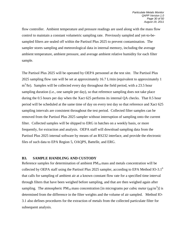flow controller. Ambient temperature and pressure readings are used along with the mass flow control to maintain a constant volumetric sampling rate. Previously sampled and yet-to-besampled filters are sealed off within the Partisol Plus 2025 to prevent contamination. The sampler stores sampling and meteorological data in internal memory, including the average ambient temperature, ambient pressure, and average ambient relative humidity for each filter sample.

The Partisol Plus 2025 will be operated by OEPA personnel at the test site. The Partisol Plus 2025 sampling flow rate will be set at approximately 16.7 L/min (equivalent to approximately 1  $m<sup>3</sup>/hr$ ). Samples will be collected every day throughout the field period, with a 23.5 hour sampling duration (i.e., one sample per day), so that reference sampling does not take place during the 0.5 hours per day when the Xact 625 performs its internal QA checks. That 0.5 hour period will be scheduled at the same time of day on every test day so that reference and Xact 625 sampling intervals are consistent throughout the test period. Collected filter samples can be removed from the Partisol Plus 2025 sampler without interruption of sampling onto the current filter. Collected samples will be shipped to ERG in batches on a weekly basis, or more frequently, for extraction and analysis. OEPA staff will download sampling data from the Partisol Plus 2025 internal software by means of an RS232 interface, and provide the electronic files of such data to EPA Region 5, OAQPS, Battelle, and ERG.

#### <span id="page-31-0"></span>**B3. SAMPLE HANDLING AND CUSTODY**

Reference samples for determination of ambient  $PM_{10}$  mass and metals concentration will be collected by OEPA staff using the Partisol Plus 2025 sampler, according to EPA Method IO-3.1<sup>6</sup> that calls for sampling of ambient air at a known constant flow rate for a specified time interval through filters that have been weighed before sampling, and that are then weighed again after sampling. The atmospheric PM<sub>10</sub> mass concentration [in micrograms per cubic meter ( $\mu$ g/m<sup>3</sup>)] is determined from the difference in the filter weights and the volume of air sampled. Method IO-3.1 also defines procedures for the extraction of metals from the collected particulate filter for subsequent analysis.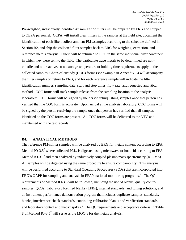Pre-weighed, individually identified 47 mm Teflon filters will be prepared by ERG and shipped to OEPA personnel. OEPA will install clean filters in the sampler at the field site, document the identification of each filter, collect ambient  $PM_{10}$  samples according to the schedule defined in Section B2, and ship the collected filter samples back to ERG for weighing, extraction, and reference metals analysis. Filters will be returned to ERG in the same individual filter containers in which they were sent to the field. The particulate trace metals to be determined are nonvolatile and not reactive, so no storage temperature or holding time requirements apply to the collected samples. Chain-of-custody (COC) forms (see example in Appendix B) will accompany the filter samples on return to ERG, and for each reference sample will indicate the filter identification number, sampling date, start and stop times, flow rate, and requested analytical method. COC forms will track sample release from the sampling location to the analysis laboratory. COC forms will be signed by the person relinquishing samples once that person has verified that the COC form is accurate. Upon arrival at the analysis laboratory, COC forms will be signed by the person receiving the sample once that person has verified that all samples identified on the COC forms are present. All COC forms will be delivered to the VTC and maintained with the test records.

#### <span id="page-32-0"></span>**B4. ANALYTICAL METHODS**

The reference  $PM_{10}$  filter samples will be analyzed by ERG for metals content according to EPA Method IO-3.5<sup>7</sup> where collected PM<sub>10</sub> is digested using microwave or hot acid according to EPA Method IO-3.1 $^6$  and then analyzed by inductively coupled plasma/mass spectrometry (ICP/MS). All samples will be digested using the same procedure to ensure comparability. This analysis will be performed according to Standard Operating Procedures (SOPs) that are incorporated into ERG's QAPP for sampling and analysis in EPA's national monitoring programs.<sup>8</sup> The QC requirements of Method IO-3.5 will be followed, including the use of blanks, quality control samples (QCSs), laboratory fortified blanks (LFBs), internal standards, and tuning solutions, and an instrument performance demonstration program that includes duplicate samples, standards, blanks, interference check standards, continuing calibration blanks and verification standards, and laboratory control and matrix spikes.<sup>8</sup> The OC requirements and acceptance criteria in Table 8 of Method IO-3.5<sup>7</sup> will serve as the MQO's for the metals analysis.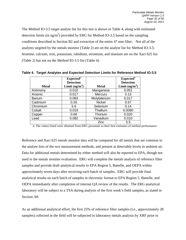The Method IO-3.5 target analyte list for this test is shown in Table 4, along with estimated detection limits (in ng/m<sup>3</sup>) provided by ERG for Method IO-3.5 based on the sampling conditions described in Section B2 and extraction of the entire 47 mm filter. Not all of the analytes targeted by the metals monitor (Table 2) are on the analyte list for Method IO-3.5; bromine, calcium, iron, potassium, rubidium, strontium, and titanium are on the Xact 625 list (Table 2) but not on the Method IO-3.5 list (Table 4).

|               | Expected <sup>a</sup> |               | Expected <sup>a</sup> |
|---------------|-----------------------|---------------|-----------------------|
|               | <b>Detection</b>      |               | <b>Detection</b>      |
| <b>Metal</b>  | Limit $(ng/m3)$       | <b>Metal</b>  | Limit $(ng/m3)$       |
| Antimony      | 0.010                 | Manganese     | 0.051                 |
| Arsenic       | 0.017                 | Mercury       | 0.13                  |
| <b>Barium</b> | 0.083                 | Molybdenum    | 0.017                 |
| Cadmium       | 0.26                  | <b>Nickel</b> | 0.57                  |
| Chromium      | 5.6                   | Selenium      | 0.14                  |
| Cobalt        | 0.019                 | Thallium      | 0.0080                |
| Copper        | 0.66                  | Thorium       | 0.020                 |
| Lead          | 0.082                 | Vanadium      | 0.010                 |
|               |                       | Zinc          | 5.5                   |

**Table 4. Target Analytes and Expected Detection Limits for Reference Method IO-3.5**

a: The values listed were obtained from ERG personnel as their best estimates of method performance

Reference and Xact 625 metals monitor data will be compared for all metals that are common to the analyte lists of the two measurement methods, and present at detectable levels in ambient air. Data for additional metals determined by either method will also be reported to EPA, though not used in the metals monitor evaluation. ERG will complete the metals analysis of reference filter samples and provide draft analytical results to EPA Region 5, Battelle, and OEPA within approximately seven days after receiving each batch of samples. ERG will provide final analytical results on each batch of samples in electronic format to EPA Region 5, Battelle, and OEPA immediately after completion of internal QA review of the results. The ERG analytical laboratory will be subject to a TSA during analysis of the first week's field samples, as stated in Section A8.

As an additional analytical effort, the first 25% of reference filter samples (i.e., approximately 28 samples) collected in the field will be subjected to laboratory metals analysis by XRF prior to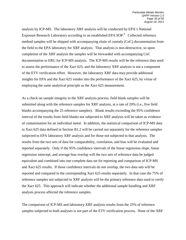analysis by ICP-MS. The laboratory XRF analysis will be conducted by EPA's National Exposure Research Laboratory according to an established EPA SOP.<sup>9</sup> Collected reference method samples will be shipped with accompanying chain of custody (CoC) documentation from the field to the EPA laboratory for XRF analysis. That analysis is non-destructive, so upon completion of the XRF analysis the samples will be forwarded with accompanying CoC documentation to ERG for ICP-MS analysis. The ICP-MS results will be the reference data used to assess the performance of the Xact 625, and the laboratory XRF analysis is not a component of the ETV verification effort. However, the laboratory XRF data may provide additional insights for EPA and the Xact 625 vendor into the performance of the Xact 625, by virtue of employing the same analytical principle as the Xact 625 measurement.

As a check on sample integrity in the XRF analysis process, field blank samples will be submitted along with the reference samples for XRF analysis, at a rate of 20% (i.e., five field blanks accompanying the 25 reference samples). Blank results exceeding the 95% confidence interval of the results from field blanks not subjected to XRF analysis will be taken as evidence of contamination for an individual metal. In addition, the statistical comparison of ICP-MS data to Xact 625 data defined in Section B1.2 will be carried out separately for the reference samples subjected to EPA laboratory XRF analysis and for those not subjected to that analysis. The results from the two sets of data for comparability, correlation, and bias will be evaluated and reported separately. Only if the 95% confidence intervals of the linear regression slope, linear regression intercept, and average bias overlap will the two sets of reference data be judged equivalent and combined into one complete data set for reporting and comparison of ICP-MS and Xact 625 results. If those confidence intervals do not overlap, the two data sets will be reported and compared to the corresponding Xact 625 results separately. In that case the 75% of reference samples not subjected to XRF analysis will be the primary reference data used to verify the Xact 625. This approach will indicate whether the additional sample handling and XRF analysis process affected the reference samples.

The comparison of ICP-MS and laboratory XRF analysis results from the 25% of reference samples subjected to both analyses is not part of the ETV verification process. None of the XRF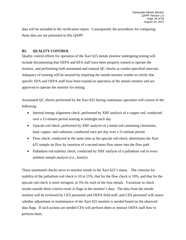data will be included in the verification report. Consequently the procedures for comparing those data are not presented in this QAPP.

# <span id="page-35-0"></span>**B5. QUALITY CONTROL**

Quality control efforts for operation of the Xact 625 metals monitor undergoing testing will include documenting that OEPA and EPA staff have been properly trained to operate the monitor, and performing both automated and manual QC checks at vendor-specified intervals. Adequacy of training will be assured by requiring the metals monitor vendor to certify that specific EPA and OEPA staff have been trained on operation of the metals monitor and are approved to operate the monitor for testing.

Automated QC checks performed by the Xact 625 during continuous operation will consist of the following.

- Internal energy alignment check, performed by XRF analysis of a copper rod; conducted over a 15-minute period starting at midnight each day
- Upscale rod check, performed by XRF analysis of a metal rod containing chromium, lead, copper, and cadmium; conducted once per day over a 15-minute period
- Flow check, conducted at the same time as the upscale rod check, determines the Xact 625 sample air flow by insertion of a second mass flow meter into the flow path
- Palladium rod stability check, conducted by XRF analysis of a palladium rod in every ambient sample analysis (i.e., hourly)

These automated checks serve to monitor trends in the Xact 625's status. The criterion for stability of the palladium rod check is 10 to 15%, that for the flow check is 10%, and that for the upscale rod check is more stringent, at 5% for each of the four metals. Variations in check results outside these criteria result in flags in the monitor's data. The data from the metals monitor will be reviewed by CES personnel and OEPA field staff, and CES personnel will assess whether adjustment or maintenance of the Xact 625 monitor is needed based on the observed data flags. If such actions are needed CES will perform them or instruct OEPA staff how to perform them.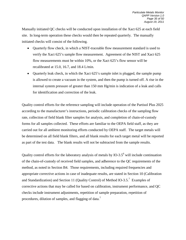Manually initiated QC checks will be conducted upon installation of the Xact 625 at each field site. In long-term operation these checks would then be repeated quarterly. The manually initiated checks will consist of the following.

- Quarterly flow check, in which a NIST-traceable flow measurement standard is used to verify the Xact 625's sample flow measurement. Agreement of the NIST and Xact 625 flow measurements must be within 10%, or the Xact 625's flow sensor will be recalibrated at 15.0, 16.7, and 18.4 L/min.
- Quarterly leak check, in which the Xact 625's sample inlet is plugged, the sample pump is allowed to create a vacuum in the system, and then the pump is turned off. A rise in the internal system pressure of greater than 150 mm Hg/min is indication of a leak and calls for identification and correction of the leak.

Quality control efforts for the reference sampling will include operation of the Partisol Plus 2025 according to the manufacturer's instructions, periodic calibration checks of the sampling flow rate, collection of field blank filter samples for analysis, and completion of chain-of-custody forms for all samples collected. These efforts are familiar to the OEPA field staff, as they are carried out for all ambient monitoring efforts conducted by OEPA staff. The target metals will be determined on all field blank filters, and all blank results for each target metal will be reported as part of the test data. The blank results will not be subtracted from the sample results.

Quality control efforts for the laboratory analysis of metals by IO-3.5 $^6$  will include continuation of the chain-of-custody of received field samples, and adherence to the QC requirements of the method, as noted in Section B4. Those requirements, including required frequencies and appropriate corrective actions in case of inadequate results, are stated in Section 10 (Calibration and Standardization) and Section 11 (Quality Control) of Method IO-3.5.<sup>7</sup> Examples of corrective actions that may be called for based on calibration, instrument performance, and QC checks include instrument adjustments, repetition of sample preparation, repetition of procedures, dilution of samples, and flagging of data.<sup>7</sup>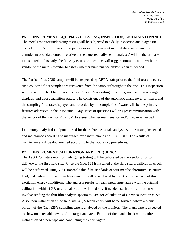# <span id="page-37-0"></span>**B6 INSTRUMENT/ EQUIPMENT TESTING, INSPECTION, AND MAINTENANCE**

The metals monitor undergoing testing will be subjected to a daily inspection and diagnostic check by OEPA staff to assure proper operation. Instrument internal diagnostics and the completeness of data output (relative to the expected daily set of analyses) will be the primary items noted in this daily check. Any issues or questions will trigger communication with the vendor of the metals monitor to assess whether maintenance and/or repair is needed.

The Partisol Plus 2025 sampler will be inspected by OEPA staff prior to the field test and every time collected filter samples are recovered from the sampler throughout the test. This inspection will use a brief checklist of key Partisol Plus 2025 operating indicators, such as flow readings, displays, and data acquisition status. The consistency of the automatic changeover of filters, and the sampling flow rate displayed and recorded by the sampler's software, will be the primary features addressed in the inspection. Any issues or questions will trigger communication with the vendor of the Partisol Plus 2025 to assess whether maintenance and/or repair is needed.

Laboratory analytical equipment used for the reference metals analysis will be tested, inspected, and maintained according to manufacturer's instructions and ERG SOPs. The results of maintenance will be documented according to the laboratory procedures.

# <span id="page-37-1"></span>**B7 INSTRUMENT CALIBRATION AND FREQUENCY**

The Xact 625 metals monitor undergoing testing will be calibrated by the vendor prior to delivery to the first field site. Once the Xact 625 is installed at the field site, a calibration check will be performed using NIST-traceable thin film standards of four metals: chromium, selenium, lead, and cadmium. Each thin film standard will be analyzed by the Xact 625 at each of three excitation energy conditions. The analysis results for each metal must agree with the original calibration within 10%, or a re-calibration will be done. If needed, such a re-calibration will involve sending the thin film analysis spectra to CES for calculation of a new calibration curve. Also upon installation at the field site, a QA blank check will be performed, where a blank portion of the Xact 625's sampling tape is analyzed by the monitor. The blank tape is expected to show no detectable levels of the target analytes. Failure of the blank check will require installation of a new tape and conducting the check again.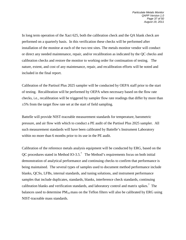In long term operation of the Xact 625, both the calibration check and the QA blank check are performed on a quarterly basis. In this verification these checks will be performed after installation of the monitor at each of the two test sites. The metals monitor vendor will conduct or direct any needed maintenance, repair, and/or recalibration as indicated by the QC checks and calibration checks and restore the monitor to working order for continuation of testing. The nature, extent, and cost of any maintenance, repair, and recalibration efforts will be noted and included in the final report.

Calibration of the Partisol Plus 2025 sampler will be conducted by OEPA staff prior to the start of testing. Recalibration will be performed by OEPA when necessary based on the flow rate checks, i.e., recalibration will be triggered by sampler flow rate readings that differ by more than ±5% from the target flow rate set at the start of field sampling.

Battelle will provide NIST-traceable measurement standards for temperature, barometric pressure, and air flow with which to conduct a PE audit of the Partisol Plus 2025 sampler. All such measurement standards will have been calibrated by Battelle's Instrument Laboratory within no more than 6 months prior to its use in the PE audit.

Calibration of the reference metals analysis equipment will be conducted by ERG, based on the QC procedures stated in Method IO-3.5.<sup>7</sup> The Method's requirements focus on both initial demonstration of analytical performance and continuing checks to confirm that performance is being maintained. The several types of samples used to document method performance include blanks, QCSs, LFBs, internal standards, and tuning solutions, and instrument performance samples that include duplicates, standards, blanks, interference check standards, continuing calibration blanks and verification standards, and laboratory control and matrix spikes.<sup>7</sup> The balances used to determine  $PM_{10}$  mass on the Teflon filters will also be calibrated by ERG using NIST-traceable mass standards.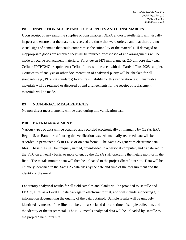#### <span id="page-39-0"></span>**B8 INSPECTION/ACCEPTANCE OF SUPPLIES AND CONSUMABLES**

Upon receipt of any sampling supplies or consumables, OEPA and/or Battelle staff will visually inspect and ensure that the materials received are those that were ordered and that there are no visual signs of damage that could compromise the suitability of the materials. If damaged or inappropriate goods are received they will be returned or disposed of and arrangements will be made to receive replacement materials. Forty-seven (47) mm diameter, 2.0  $\mu$ m pore size (e.g., Zefluor FPTPT247 or equivalent) Teflon filters will be used with the Partisol Plus 2025 sampler. Certificates of analysis or other documentation of analytical purity will be checked for all standards (e.g., PE audit standards) to ensure suitability for this verification test. Unsuitable materials will be returned or disposed of and arrangements for the receipt of replacement materials will be made.

#### <span id="page-39-1"></span>**B9 NON-DIRECT MEASUREMENTS**

No non-direct measurements will be used during this verification test.

# <span id="page-39-2"></span>**B10 DATA MANAGEMENT**

Various types of data will be acquired and recorded electronically or manually by OEPA, EPA Region 5, or Battelle staff during this verification test. All manually-recorded data will be recorded in permanent ink in LRBs or on data forms. The Xact 625 generates electronic data files. These files will be uniquely named, downloaded to a personal computer, and transferred to the VTC on a weekly basis, or more often, by the OEPA staff operating the metals monitor in the field. The metals monitor data will then be uploaded to the project SharePoint site. Data will be uniquely identified in the Xact 625 data files by the date and time of the measurement and the identity of the metal.

Laboratory analytical results for all field samples and blanks will be provided to Battelle and EPA by ERG as a Level III data package in electronic format, and will include supporting QC information documenting the quality of the data obtained. Sample results will be uniquely identified by means of the filter number, the associated date and time of sample collection, and the identity of the target metal. The ERG metals analytical data will be uploaded by Battelle to the project SharePoint site.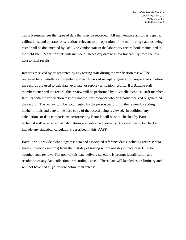Table 5 summarizes the types of data that may be recorded. All maintenance activities, repairs, calibrations, and operator observations relevant to the operation of the monitoring systems being tested will be documented by OEPA or vendor staff in the laboratory record book maintained at the field site. Report formats will include all necessary data to allow traceability from the raw data to final results.

Records received by or generated by any testing staff during the verification test will be reviewed by a Battelle staff member within 14 days of receipt or generation, respectively, before the records are used to calculate, evaluate, or report verification results. If a Battelle staff member generated the record, this review will be performed by a Battelle technical staff member familiar with the verification test, but not the staff member who originally received or generated the record. The review will be documented by the person performing the review by adding his/her initials and date to the hard copy of the record being reviewed. In addition, any calculations or data comparisons performed by Battelle will be spot-checked by Battelle technical staff to ensure that calculations are performed correctly. Calculations to be checked include any statistical calculations described in this QAPP.

<span id="page-40-0"></span>Battelle will provide technology test data and associated reference data (including records; data sheets; notebook records) from the first day of testing within one day of receipt to EPA for simultaneous review. The goal of this data delivery schedule is prompt identification and resolution of any data collection or recording issues. These data will labeled as preliminary and will not have had a QA review before their release.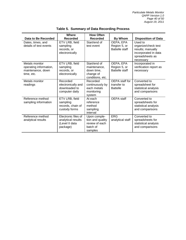| Data to Be Recorded                                                         | Where<br><b>Recorded</b>                                                | <b>How Often</b><br><b>Recorded</b>                                         | <b>By Whom</b>                                     | <b>Disposition of Data</b>                                                                                  |
|-----------------------------------------------------------------------------|-------------------------------------------------------------------------|-----------------------------------------------------------------------------|----------------------------------------------------|-------------------------------------------------------------------------------------------------------------|
| Dates, times, and<br>details of test events                                 | ETV LRB, field<br>sampling<br>records, or<br>electronically             | Start/end of<br>test event                                                  | OEPA, EPA<br>Region 5, or<br><b>Battelle staff</b> | Used to<br>organize/check test<br>results; manually<br>incorporated in data<br>spreadsheets as<br>necessary |
| Metals monitor<br>operating information,<br>maintenance, down<br>time, etc. | ETV LRB, field<br>sampling<br>records, or<br>electronically             | Start/end of<br>maintenance,<br>down time.<br>change of<br>conditions, etc. | OEPA, EPA<br>Region 5, or<br>Battelle staff        | Incorporated in<br>verification report as<br>necessary                                                      |
| Metals monitor<br>readings                                                  | Recorded<br>electronically and<br>downloaded to<br>computer daily       | Recorded<br>continuously by<br>each metals<br>monitoring<br>system          | OEPA staff for<br>transfer to<br><b>Battelle</b>   | Converted to<br>spreadsheet for<br>statistical analysis<br>and comparisons                                  |
| Reference method<br>sampling information                                    | ETV LRB, field<br>sampling<br>records, chain of<br>custody forms        | At each<br>reference<br>method<br>sampling<br>interval                      | OEPA staff                                         | Converted to<br>spreadsheets for<br>statistical analysis<br>and comparisons                                 |
| Reference method<br>analytical results                                      | Electronic files of<br>analytical results<br>(Level II data<br>package) | Upon comple-<br>tion and quality<br>review of each<br>batch of<br>samples   | <b>ERG</b><br>analytical staff                     | Converted to<br>spreadsheets for<br>statistical analysis<br>and comparisons                                 |

**Table 5. Summary of Data Recording Process**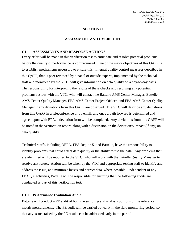# **SECTION C**

# **ASSESSMENT AND OVERSIGHT**

#### <span id="page-42-1"></span><span id="page-42-0"></span>**C1 ASSESSMENTS AND RESPONSE ACTIONS**

Every effort will be made in this verification test to anticipate and resolve potential problems before the quality of performance is compromised. One of the major objectives of this QAPP is to establish mechanisms necessary to ensure this. Internal quality control measures described in this QAPP, that is peer reviewed by a panel of outside experts, implemented by the technical staff and monitored by the VTC, will give information on data quality on a day-to-day basis. The responsibility for interpreting the results of these checks and resolving any potential problems resides with the VTC, who will contact the Battelle AMS Center Manager, Battelle AMS Center Quality Manager, EPA AMS Center Project Officer, and EPA AMS Center Quality Manager if any deviations from this QAPP are observed. The VTC will describe any deviations from this QAPP in a teleconference or by email, and once a path forward is determined and agreed upon with EPA, a deviation form will be completed. Any deviations from this QAPP will be noted in the verification report, along with a discussion on the deviation's impact (if any) on data quality.

Technical staffs, including OEPA, EPA Region 5, and Battelle, have the responsibility to identify problems that could affect data quality or the ability to use the data. Any problems that are identified will be reported to the VTC, who will work with the Battelle Quality Manager to resolve any issues. Action will be taken by the VTC and appropriate testing staff to identify and address the issue, and minimize losses and correct data, where possible. Independent of any EPA QA activities, Battelle will be responsible for ensuring that the following audits are conducted as part of this verification test.

# **C1.1 Performance Evaluation Audit**

Battelle will conduct a PE audit of both the sampling and analysis portions of the reference metals measurements. The PE audit will be carried out early in the field monitoring period, so that any issues raised by the PE results can be addressed early in the period.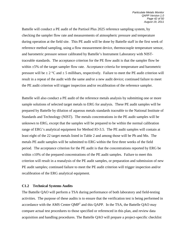Battelle will conduct a PE audit of the Partisol Plus 2025 reference sampling system, by checking the sampler flow rate and measurements of atmospheric pressure and temperature during operation at the field site. This PE audit will be done by Battelle staff in the first week of reference method sampling, using a flow measurement device, thermocouple temperature sensor, and barometric pressure sensor calibrated by Battelle's Instrument Laboratory with NISTtraceable standards. The acceptance criterion for the PE flow audit is that the sampler flow be within  $\pm$ 5% of the target sampler flow rate. Acceptance criteria for temperature and barometric pressure will be  $\pm 2$  °C and  $\pm 5$  millibars, respectively. Failure to meet the PE audit criterion will result in a repeat of the audit with the same and/or a new audit device; continued failure to meet the PE audit criterion will trigger inspection and/or recalibration of the reference sampler.

Battelle will also conduct a PE audit of the reference metals analysis by submitting one or more sample solutions of selected target metals to ERG for analysis. These PE audit samples will be prepared by Battelle by dilution of aqueous metals standards traceable to the National Institute of Standards and Technology (NIST). The metals concentrations in the PE audit samples will be unknown to ERG, except that the samples will be prepared to be within the normal calibration range of ERG's analytical equipment for Method IO-3.5. The PE audit samples will contain at least eight of the 22 target metals listed in Table 2 and among those will be Pb and Mn. The metals PE audit samples will be submitted to ERG within the first three weeks of the field period. The acceptance criterion for the PE audit is that the concentrations reported by ERG be within  $\pm 10\%$  of the prepared concentrations of the PE audit samples. Failure to meet this criterion will result in a reanalysis of the PE audit samples, or preparation and submission of new PE audit samples; continued failure to meet the PE audit criterion will trigger inspection and/or recalibration of the ERG analytical equipment.

#### **C1.2 Technical Systems Audits**

The Battelle QAO will perform a TSA during performance of both laboratory and field-testing activities. The purpose of these audits is to ensure that the verification test is being performed in accordance with the AMS Center  $QMP<sup>1</sup>$  and this QAPP. In the TSA, the Battelle QAO may compare actual test procedures to those specified or referenced in this plan, and review data acquisition and handling procedures. The Battelle QAO will prepare a project-specific checklist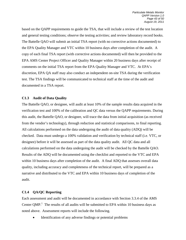based on the QAPP requirements to guide the TSA, that will include a review of the test location and general testing conditions; observe the testing activities; and review laboratory record books. The Battelle QAO will submit an initial TSA report (with no corrective actions documented) to the EPA Quality Manager and VTC within 10 business days after completion of the audit. A copy of each final TSA report (with corrective actions documented) will then be provided to the EPA AMS Center Project Officer and Quality Manager within 20 business days after receipt of comments on the initial TSA report from the EPA Quality Manager and VTC. At EPA's discretion, EPA QA staff may also conduct an independent on-site TSA during the verification test. The TSA findings will be communicated to technical staff at the time of the audit and documented in a TSA report.

# **C1.3 Audit of Data Quality**

The Battelle QAO, or designee, will audit at least 10% of the sample results data acquired in the verification test and 100% of the calibration and QC data versus the QAPP requirements. During this audit, the Battelle QAO, or designee, will trace the data from initial acquisition (as received from the vendor's technology), through reduction and statistical comparisons, to final reporting. All calculations performed on the data undergoing the audit of data quality (ADQ) will be checked. Data must undergo a 100% validation and verification by technical staff (i.e. VTC, or designee) before it will be assessed as part of the data quality audit. All QC data and all calculations performed on the data undergoing the audit will be checked by the Battelle QAO. Results of the ADQ will be documented using the checklist and reported to the VTC and EPA within 10 business days after completion of the audit. A final ADQ that assesses overall data quality, including accuracy and completeness of the technical report, will be prepared as a narrative and distributed to the VTC and EPA within 10 business days of completion of the audit.

# **C1.4 QA/QC Reporting**

Each assessment and audit will be documented in accordance with Section 3.3.4 of the AMS Center QMP.<sup>1</sup> The results of all audits will be submitted to EPA within 10 business days as noted above. Assessment reports will include the following.

Identification of any adverse findings or potential problems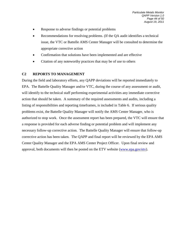- Response to adverse findings or potential problems
- Recommendations for resolving problems. (If the QA audit identifies a technical issue, the VTC or Battelle AMS Center Manager will be consulted to determine the appropriate corrective action
- Confirmation that solutions have been implemented and are effective
- Citation of any noteworthy practices that may be of use to others

# <span id="page-45-0"></span>**C2 REPORTS TO MANAGEMENT**

<span id="page-45-1"></span>During the field and laboratory efforts, any QAPP deviations will be reported immediately to EPA. The Battelle Quality Manager and/or VTC, during the course of any assessment or audit, will identify to the technical staff performing experimental activities any immediate corrective action that should be taken. A summary of the required assessments and audits, including a listing of responsibilities and reporting timeframes, is included in Table 6. If serious quality problems exist, the Battelle Quality Manager will notify the AMS Center Manager, who is authorized to stop work. Once the assessment report has been prepared, the VTC will ensure that a response is provided for each adverse finding or potential problem and will implement any necessary follow-up corrective action. The Battelle Quality Manager will ensure that follow-up corrective action has been taken. The QAPP and final report will be reviewed by the EPA AMS Center Quality Manager and the EPA AMS Center Project Officer. Upon final review and approval, both documents will then be posted on the ETV website [\(www.epa.gov/etv\)](http://www.epa.gov/etv).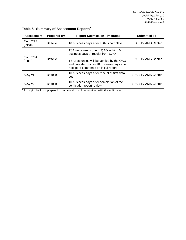| <b>Assessment</b>     | <b>Prepared By</b> | <b>Report Submission Timeframe</b>                                                                                                                                                                            | <b>Submitted To</b>       |
|-----------------------|--------------------|---------------------------------------------------------------------------------------------------------------------------------------------------------------------------------------------------------------|---------------------------|
| Each TSA<br>(Initial) | <b>Battelle</b>    | 10 business days after TSA is complete                                                                                                                                                                        | <b>EPA ETV AMS Center</b> |
| Each TSA<br>(Final)   | <b>Battelle</b>    | TSA response is due to QAO within 10<br>business days of receipt from QAO<br>TSA responses will be verified by the QAO<br>and provided within 20 business days after<br>receipt of comments on initial report | <b>EPA ETV AMS Center</b> |
| $ADQ$ #1              | <b>Battelle</b>    | 10 business days after receipt of first data<br>set                                                                                                                                                           | <b>EPA ETV AMS Center</b> |
| ADQ #2                | <b>Battelle</b>    | 10 business days after completion of the<br>verification report review                                                                                                                                        | <b>EPA ETV AMS Center</b> |

**Table 6. Summary of Assessment Reports<sup>a</sup>**

<sup>a</sup> Any QA checklists prepared to guide audits will be provided with the audit report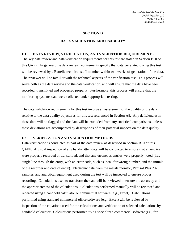#### **SECTION D**

#### **DATA VALIDATION AND USABILITY**

#### <span id="page-47-1"></span><span id="page-47-0"></span>**D1 DATA REVIEW, VERIFICATION, AND VALIDATION REQUIREMENTS**

The key data review and data verification requirements for this test are stated in Section B10 of this QAPP. In general, the data review requirements specify that data generated during this test will be reviewed by a Battelle technical staff member within two weeks of generation of the data. The reviewer will be familiar with the technical aspects of the verification test. This process will serve both as the data review and the data verification, and will ensure that the data have been recorded, transmitted and processed properly. Furthermore, this process will ensure that the monitoring systems data were collected under appropriate testing.

The data validation requirements for this test involve an assessment of the quality of the data relative to the data quality objectives for this test referenced in Section A8. Any deficiencies in these data will be flagged and the data will be excluded from any statistical comparisons, unless these deviations are accompanied by descriptions of their potential impacts on the data quality.

#### <span id="page-47-2"></span>**D2 VERIFICATION AND VALIDATION METHODS**

Data verification is conducted as part of the data review as described in Section B10 of this QAPP. A visual inspection of any handwritten data will be conducted to ensure that all entries were properly recorded or transcribed, and that any erroneous entries were properly noted (i.e., single line through the entry, with an error code, such as "wn" for wrong number, and the initials of the recorder and date of entry). Electronic data from the metals monitor, Partisol Plus 2025 sampler, and analytical equipment used during the test will be inspected to ensure proper recording. Calculations used to transform the data will be reviewed to ensure the accuracy and the appropriateness of the calculations. Calculations performed manually will be reviewed and repeated using a handheld calculator or commercial software (e.g., Excel). Calculations performed using standard commercial office software (e.g., Excel) will be reviewed by inspection of the equations used for the calculations and verification of selected calculations by handheld calculator. Calculations performed using specialized commercial software (i.e., for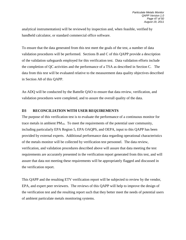analytical instrumentation) will be reviewed by inspection and, when feasible, verified by handheld calculator, or standard commercial office software.

To ensure that the data generated from this test meet the goals of the test, a number of data validation procedures will be performed. Sections B and C of this QAPP provide a description of the validation safeguards employed for this verification test. Data validation efforts include the completion of QC activities and the performance of a TSA as described in Section C. The data from this test will be evaluated relative to the measurement data quality objectives described in Section A8 of this QAPP.

An ADQ will be conducted by the Battelle QAO to ensure that data review, verification, and validation procedures were completed, and to assure the overall quality of the data.

# <span id="page-48-0"></span>**D3 RECONCILIATION WITH USER REQUIREMENTS**

The purpose of this verification test is to evaluate the performance of a continuous monitor for trace metals in ambient  $PM_{10}$ . To meet the requirements of the potential user community, including particularly EPA Region 5, EPA OAQPS, and OEPA, input to this QAPP has been provided by external experts. Additional performance data regarding operational characteristics of the metals monitor will be collected by verification test personnel. The data review, verification, and validation procedures described above will assure that data meeting the test requirements are accurately presented in the verification report generated from this test, and will assure that data not meeting these requirements will be appropriately flagged and discussed in the verification report.

This QAPP and the resulting ETV verification report will be subjected to review by the vendor, EPA, and expert peer reviewers. The reviews of this QAPP will help to improve the design of the verification test and the resulting report such that they better meet the needs of potential users of ambient particulate metals monitoring systems.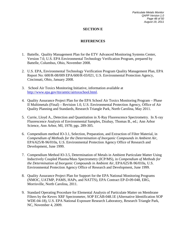*Particulate Metals Monitor QAPP Version 1.0 Page 48 of 50 August 19, 2011*

# **SECTION E**

# **REFERENCES**

- <span id="page-49-0"></span>1. Battelle, Quality Management Plan for the ETV Advanced Monitoring Systems Center, Version 7.0, U.S. EPA Environmental Technology Verification Program, prepared by Battelle, Columbus, Ohio, November 2008.
- 2. U.S. EPA, Environmental Technology Verification Program Quality Management Plan, EPA Report No: 600/R-08/009 EPA/600/R-03/021, U.S. Environmental Protection Agency, Cincinnati, Ohio, January 2008.
- 3. School Air Toxics Monitoring Initiative, information available at [http://www.epa.gov/ttn/amtic/airtoxschool.html.](http://www.epa.gov/ttn/amtic/airtoxschool.html)
- 4. Quality Assurance Project Plan for the EPA School Air Toxics Monitoring Program Phase II Multimetals (Final) – Revision 1.0, U.S. Environmental Protection Agency, Office of Air Quality Planning and Standards, Research Triangle Park, North Carolina, May 2011.
- 5. Currie, Lloyd A., Detection and Quantitation in X-Ray Fluorescence Spectrometry. In X-ray Fluorescence Analysis of Environmental Samples, Dzubay, Thomas B., ed.; Ann Arbor Science, Ann Arbor, MI, 1978; pgs. 289-305.
- 6. Compendium method IO-3.1, Selection, Preparation, and Extraction of Filter Material, in *Compendium of Methods for the Determination of Inorganic Compounds in Ambient Air*, EPA/625/R-96/010a, U.S. Environmental Protection Agency Office of Research and Development, June 1999.
- 7. Compendium Method IO-3.5, Determination of Metals in Ambient Particulate Matter Using Inductively Coupled Plasma/Mass Spectrometry (ICP/MS), in *Compendium of Methods for the Determination of Inorganic Compounds in Ambient Air*, EPA/625/R-96/010a, U.S. Environmental Protection Agency Office of Research and Development, June 1999.
- 8. Quality Assurance Project Plan for Support for the EPA National Monitoring Programs (NMOC, UATMP, PAMS, HAPs, and NATTS), EPA Contract EP-D-09-048, ERG, Morrisville, North Carolina, 2011.
- 9. Standard Operating Procedure for Elemental Analysis of Particulate Matter on Membrane Filters by the Kevex XRF Spectrometer, SOP ECAB-048.1E (Alternative Identification SOP WDE-04-18), U.S. EPA National Exposure Research Laboratory, Research Triangle Park, NC, November 4, 2009.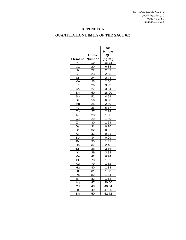# **APPENDIX A**

# <span id="page-50-0"></span>**QUANTITATION LIMITS OF THE XACT 625**

 $\overline{\phantom{0}}$ 

 $\overline{\phantom{0}}$ 

 $\overline{\phantom{0}}$ 

 $\blacksquare$ 

|                |        | 60                   |
|----------------|--------|----------------------|
|                |        | Minute               |
|                | Atomic | QL                   |
| <b>Element</b> | Number | (ng/m <sup>3</sup> ) |
| κ              | 19     | 16.73                |
| Ca             | 20     | 6.38                 |
| Ti             | 22     | 2.69                 |
| V              | 23     | 2.05                 |
| Cr             | 24     | 2.04                 |
| Mn             | 25     | 2.00                 |
| Fe             | 26     | 3.93                 |
| Co             | 27     | 3.54                 |
| Sn             | 50     | 18.00                |
| Sb             | 51     | 4.69                 |
| Вa             | 56     | 6.68                 |
| Mn             | 25     | 2.80                 |
| Fe             | 26     | 5.37                 |
| Co             | 27     | 2.24                 |
| Ni             | 28     | 1.60                 |
| Cu             | 29     | 1.89                 |
| Zn             | 30     | 1.64                 |
| Ga             | 31     | 0.76                 |
| Ge             | 32     | 0.85                 |
| As             | 33     | 0.81                 |
| Se             | 34     | 0.99                 |
| Br             | 35     | 1.31                 |
| Rb             | 37     | 2.43                 |
| Sr             | 38     | 3.16                 |
| Y              | 39     | 3.82                 |
| Mo             | 42     | 6.94                 |
| Pt             | 78     | 1.62                 |
| Au             | 79     | 1.62                 |
| Hg             | 80     | 1.33                 |
| TI.            | 81     | 1.30                 |
| Pb             | 82     | 1.54                 |
| Bi             | 83     | 1.68                 |
| Ag             | 47     | 30.60                |
| Cd             | 48     | 40.64                |
| In             | 49     | 47.90                |
| Sn             | 50     | 52.72                |